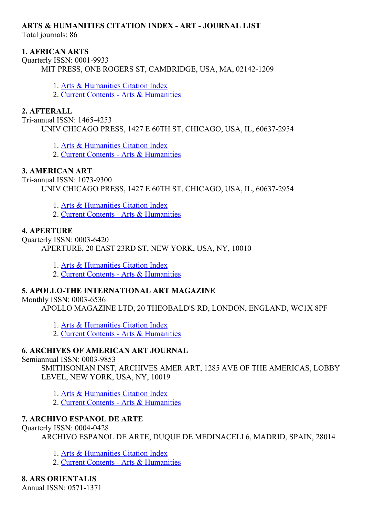#### ARTS & HUMANITIES CITATION INDEX ART JOURNAL LIST

Total journals: 86

#### 1. AFRICAN ARTS

Ouarterly ISSN: 0001-9933 MIT PRESS, ONE ROGERS ST, CAMBRIDGE, USA, MA, 02142-1209

- 1. Arts & [Humanities](http://thomsonreuters.com/arts-humanities-citation-index) Citation Index
- 2. Current Contents Arts & [Humanities](http://thomsonreuters.com/current-contents-connect)

#### 2. AFTERALL

Tri-annual ISSN: 1465-4253 UNIV CHICAGO PRESS, 1427 E 60TH ST, CHICAGO, USA, IL, 60637-2954

- 1. Arts & [Humanities](http://thomsonreuters.com/arts-humanities-citation-index) Citation Index
- 2. Current Contents Arts & [Humanities](http://thomsonreuters.com/current-contents-connect)

### 3. AMERICAN ART

Tri-annual ISSN: 1073-9300 UNIV CHICAGO PRESS, 1427 E 60TH ST, CHICAGO, USA, IL, 60637-2954

- 1. Arts & [Humanities](http://thomsonreuters.com/arts-humanities-citation-index) Citation Index
- 2. Current Contents Arts & [Humanities](http://thomsonreuters.com/current-contents-connect)

#### 4. APERTURE

Quarterly ISSN: 0003-6420 APERTURE, 20 EAST 23RD ST, NEW YORK, USA, NY, 10010

- 1. Arts & [Humanities](http://thomsonreuters.com/arts-humanities-citation-index) Citation Index
- 2. Current Contents Arts & [Humanities](http://thomsonreuters.com/current-contents-connect)

#### 5. APOLLOTHE INTERNATIONAL ART MAGAZINE

Monthly ISSN:  $0003-6536$ 

APOLLO MAGAZINE LTD, 20 THEOBALD'S RD, LONDON, ENGLAND, WC1X 8PF

- 1. Arts & [Humanities](http://thomsonreuters.com/arts-humanities-citation-index) Citation Index
- 2. Current Contents Arts & [Humanities](http://thomsonreuters.com/current-contents-connect)

### 6. ARCHIVES OF AMERICAN ART JOURNAL

Semiannual ISSN: 0003-9853

SMITHSONIAN INST, ARCHIVES AMER ART, 1285 AVE OF THE AMERICAS, LOBBY LEVEL, NEW YORK, USA, NY, 10019

- 1. Arts & [Humanities](http://thomsonreuters.com/arts-humanities-citation-index) Citation Index
- 2. Current Contents Arts & [Humanities](http://thomsonreuters.com/current-contents-connect)

### 7. ARCHIVO ESPANOL DE ARTE

#### Quarterly ISSN: 0004-0428

ARCHIVO ESPANOL DE ARTE, DUQUE DE MEDINACELI 6, MADRID, SPAIN, 28014

- 1. Arts & [Humanities](http://thomsonreuters.com/arts-humanities-citation-index) Citation Index
- 2. Current Contents Arts & [Humanities](http://thomsonreuters.com/current-contents-connect)

### 8. ARS ORIENTALIS

Annual  $ISSN: 0571-1371$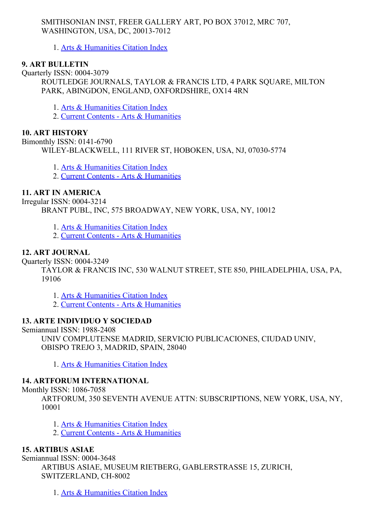#### SMITHSONIAN INST, FREER GALLERY ART, PO BOX 37012, MRC 707, WASHINGTON, USA, DC, 20013-7012

1. Arts & [Humanities](http://thomsonreuters.com/arts-humanities-citation-index) Citation Index

#### 9. ART BULLETIN

Quarterly ISSN: 0004-3079 ROUTLEDGE JOURNALS, TAYLOR & FRANCIS LTD, 4 PARK SQUARE, MILTON PARK, ABINGDON, ENGLAND, OXFORDSHIRE, OX14 4RN

1. Arts & [Humanities](http://thomsonreuters.com/arts-humanities-citation-index) Citation Index

2. Current Contents - Arts & [Humanities](http://thomsonreuters.com/current-contents-connect)

#### 10. ART HISTORY

Bimonthly ISSN: 0141-6790 WILEY-BLACKWELL, 111 RIVER ST, HOBOKEN, USA, NJ, 07030-5774

1. Arts & [Humanities](http://thomsonreuters.com/arts-humanities-citation-index) Citation Index

2. Current Contents - Arts & [Humanities](http://thomsonreuters.com/current-contents-connect)

#### 11. ART IN AMERICA

Irregular ISSN: 00043214 BRANT PUBL, INC, 575 BROADWAY, NEW YORK, USA, NY, 10012

1. Arts & [Humanities](http://thomsonreuters.com/arts-humanities-citation-index) Citation Index

2. Current Contents - Arts & [Humanities](http://thomsonreuters.com/current-contents-connect)

#### 12. ART JOURNAL

Quarterly ISSN: 00043249

TAYLOR & FRANCIS INC, 530 WALNUT STREET, STE 850, PHILADELPHIA, USA, PA, 19106

1. Arts & [Humanities](http://thomsonreuters.com/arts-humanities-citation-index) Citation Index

2. Current Contents - Arts & [Humanities](http://thomsonreuters.com/current-contents-connect)

#### 13. ARTE INDIVIDUO Y SOCIEDAD

Semiannual ISSN: 1988-2408

UNIV COMPLUTENSE MADRID, SERVICIO PUBLICACIONES, CIUDAD UNIV, OBISPO TREJO 3, MADRID, SPAIN, 28040

1. Arts & [Humanities](http://thomsonreuters.com/arts-humanities-citation-index) Citation Index

#### 14. ARTFORUM INTERNATIONAL

Monthly ISSN: 1086-7058

ARTFORUM, 350 SEVENTH AVENUE ATTN: SUBSCRIPTIONS, NEW YORK, USA, NY, 10001

1. Arts & [Humanities](http://thomsonreuters.com/arts-humanities-citation-index) Citation Index

2. Current Contents - Arts & [Humanities](http://thomsonreuters.com/current-contents-connect)

#### 15. ARTIBUS ASIAE

Semiannual ISSN: 0004-3648

ARTIBUS ASIAE, MUSEUM RIETBERG, GABLERSTRASSE 15, ZURICH, SWITZERLAND, CH-8002

1. Arts & [Humanities](http://thomsonreuters.com/arts-humanities-citation-index) Citation Index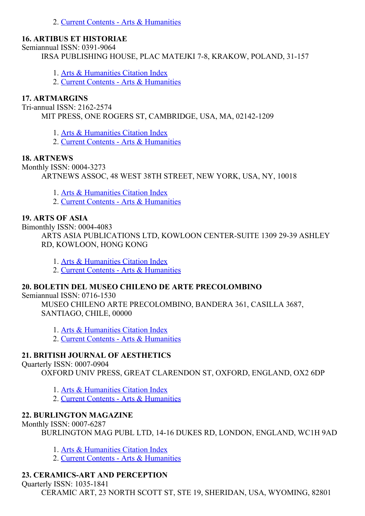2. Current Contents - Arts & [Humanities](http://thomsonreuters.com/current-contents-connect)

#### 16. ARTIBUS ET HISTORIAE

Semiannual ISSN: 0391-9064

IRSA PUBLISHING HOUSE, PLAC MATEJKI 7-8, KRAKOW, POLAND, 31-157

- 1. Arts & [Humanities](http://thomsonreuters.com/arts-humanities-citation-index) Citation Index
- 2. Current Contents Arts & [Humanities](http://thomsonreuters.com/current-contents-connect)

### 17. ARTMARGINS

Tri-annual ISSN: 2162-2574

MIT PRESS, ONE ROGERS ST, CAMBRIDGE, USA, MA, 02142-1209

1. Arts & [Humanities](http://thomsonreuters.com/arts-humanities-citation-index) Citation Index

2. Current Contents Arts & [Humanities](http://thomsonreuters.com/current-contents-connect)

## 18. ARTNEWS

Monthly ISSN: 0004-3273 ARTNEWS ASSOC, 48 WEST 38TH STREET, NEW YORK, USA, NY, 10018

- 1. Arts & [Humanities](http://thomsonreuters.com/arts-humanities-citation-index) Citation Index
- 2. Current Contents Arts & [Humanities](http://thomsonreuters.com/current-contents-connect)

## 19. ARTS OF ASIA

Bimonthly ISSN: 0004-4083

ARTS ASIA PUBLICATIONS LTD, KOWLOON CENTER-SUITE 1309 29-39 ASHLEY RD, KOWLOON, HONG KONG

- 1. Arts & [Humanities](http://thomsonreuters.com/arts-humanities-citation-index) Citation Index
- 2. Current Contents Arts & [Humanities](http://thomsonreuters.com/current-contents-connect)

### 20. BOLETIN DEL MUSEO CHILENO DE ARTE PRECOLOMBINO

Semiannual ISSN: 0716-1530

MUSEO CHILENO ARTE PRECOLOMBINO, BANDERA 361, CASILLA 3687, SANTIAGO, CHILE, 00000

- 1. Arts & [Humanities](http://thomsonreuters.com/arts-humanities-citation-index) Citation Index
- 2. Current Contents Arts & [Humanities](http://thomsonreuters.com/current-contents-connect)

# 21. BRITISH JOURNAL OF AESTHETICS

Ouarterly ISSN: 0007-0904

OXFORD UNIV PRESS, GREAT CLARENDON ST, OXFORD, ENGLAND, OX2 6DP

- 1. Arts & [Humanities](http://thomsonreuters.com/arts-humanities-citation-index) Citation Index
- 2. Current Contents Arts & [Humanities](http://thomsonreuters.com/current-contents-connect)

# 22. BURLINGTON MAGAZINE

Monthly ISSN: 0007-6287

BURLINGTON MAG PUBL LTD, 1416 DUKES RD, LONDON, ENGLAND, WC1H 9AD

- 1. Arts & [Humanities](http://thomsonreuters.com/arts-humanities-citation-index) Citation Index
- 2. Current Contents Arts & [Humanities](http://thomsonreuters.com/current-contents-connect)

# 23. CERAMICS-ART AND PERCEPTION

Quarterly ISSN: 1035-1841 CERAMIC ART, 23 NORTH SCOTT ST, STE 19, SHERIDAN, USA, WYOMING, 82801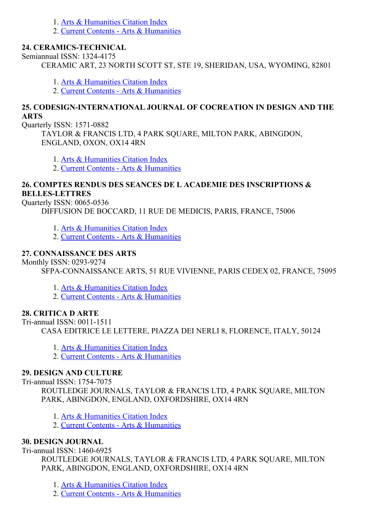- 1. Arts & [Humanities](http://thomsonreuters.com/arts-humanities-citation-index) Citation Index
- 2. Current Contents Arts & [Humanities](http://thomsonreuters.com/current-contents-connect)

#### 24. CERAMICS-TECHNICAL

Semiannual ISSN: 1324-4175

CERAMIC ART, 23 NORTH SCOTT ST, STE 19, SHERIDAN, USA, WYOMING, 82801

1. Arts & [Humanities](http://thomsonreuters.com/arts-humanities-citation-index) Citation Index

2. Current Contents Arts & [Humanities](http://thomsonreuters.com/current-contents-connect)

#### 25. CODESIGN-INTERNATIONAL JOURNAL OF COCREATION IN DESIGN AND THE ARTS

Quarterly ISSN: 1571-0882

TAYLOR & FRANCIS LTD, 4 PARK SQUARE, MILTON PARK, ABINGDON, ENGLAND, OXON, OX14 4RN

- 1. Arts & [Humanities](http://thomsonreuters.com/arts-humanities-citation-index) Citation Index
- 2. Current Contents Arts & [Humanities](http://thomsonreuters.com/current-contents-connect)

#### 26. COMPTES RENDUS DES SEANCES DE L ACADEMIE DES INSCRIPTIONS & **BELLES-LETTRES**

Ouarterly ISSN: 0065-0536

DIFFUSION DE BOCCARD, 11 RUE DE MEDICIS, PARIS, FRANCE, 75006

- 1. Arts & [Humanities](http://thomsonreuters.com/arts-humanities-citation-index) Citation Index
- 2. Current Contents Arts & [Humanities](http://thomsonreuters.com/current-contents-connect)

### 27. CONNAISSANCE DES ARTS

Monthly ISSN: 0293-9274

SFPA-CONNAISSANCE ARTS, 51 RUE VIVIENNE, PARIS CEDEX 02, FRANCE, 75095

- 1. Arts & [Humanities](http://thomsonreuters.com/arts-humanities-citation-index) Citation Index
- 2. Current Contents Arts & [Humanities](http://thomsonreuters.com/current-contents-connect)

### 28. CRITICA D ARTE

 $Tri-annual ISSN: 0011-1511$ 

CASA EDITRICE LE LETTERE, PIAZZA DEI NERLI 8, FLORENCE, ITALY, 50124

- 1. Arts & [Humanities](http://thomsonreuters.com/arts-humanities-citation-index) Citation Index
- 2. Current Contents Arts & [Humanities](http://thomsonreuters.com/current-contents-connect)

### 29. DESIGN AND CULTURE

Tri-annual ISSN: 1754-7075

ROUTLEDGE JOURNALS, TAYLOR & FRANCIS LTD, 4 PARK SQUARE, MILTON PARK, ABINGDON, ENGLAND, OXFORDSHIRE, OX14 4RN

- 1. Arts & [Humanities](http://thomsonreuters.com/arts-humanities-citation-index) Citation Index
- 2. Current Contents Arts & [Humanities](http://thomsonreuters.com/current-contents-connect)

### 30. DESIGN JOURNAL

#### Tri-annual ISSN: 1460-6925

ROUTLEDGE JOURNALS, TAYLOR & FRANCIS LTD, 4 PARK SQUARE, MILTON PARK, ABINGDON, ENGLAND, OXFORDSHIRE, OX14 4RN

1. Arts & [Humanities](http://thomsonreuters.com/arts-humanities-citation-index) Citation Index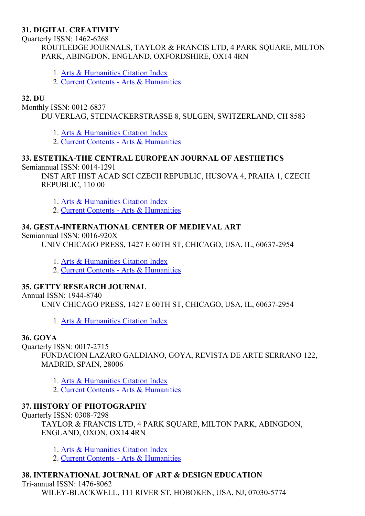#### 31. DIGITAL CREATIVITY

Ouarterly ISSN: 1462-6268

ROUTLEDGE JOURNALS, TAYLOR & FRANCIS LTD, 4 PARK SQUARE, MILTON PARK, ABINGDON, ENGLAND, OXFORDSHIRE, OX14 4RN

- 1. Arts & [Humanities](http://thomsonreuters.com/arts-humanities-citation-index) Citation Index
- 2. Current Contents Arts & [Humanities](http://thomsonreuters.com/current-contents-connect)

#### 32. DU

Monthly ISSN: 0012-6837

DU VERLAG, STEINACKERSTRASSE 8, SULGEN, SWITZERLAND, CH 8583

1. Arts & [Humanities](http://thomsonreuters.com/arts-humanities-citation-index) Citation Index

2. Current Contents - Arts & [Humanities](http://thomsonreuters.com/current-contents-connect)

#### 33. ESTETIKA-THE CENTRAL EUROPEAN JOURNAL OF AESTHETICS

Semiannual ISSN: 0014-1291

INST ART HIST ACAD SCI CZECH REPUBLIC, HUSOVA 4, PRAHA 1, CZECH REPUBLIC, 110 00

- 1. Arts & [Humanities](http://thomsonreuters.com/arts-humanities-citation-index) Citation Index
- 2. Current Contents Arts & [Humanities](http://thomsonreuters.com/current-contents-connect)

#### 34. GESTA-INTERNATIONAL CENTER OF MEDIEVAL ART

#### Semiannual ISSN: 0016-920X

UNIV CHICAGO PRESS, 1427 E 60TH ST, CHICAGO, USA, IL, 60637-2954

- 1. Arts & [Humanities](http://thomsonreuters.com/arts-humanities-citation-index) Citation Index
- 2. Current Contents Arts & [Humanities](http://thomsonreuters.com/current-contents-connect)

#### 35. GETTY RESEARCH JOURNAL

Annual ISSN: 1944-8740

UNIV CHICAGO PRESS, 1427 E 60TH ST, CHICAGO, USA, IL, 60637-2954

1. Arts & [Humanities](http://thomsonreuters.com/arts-humanities-citation-index) Citation Index

#### 36. GOYA

Quarterly ISSN: 0017-2715

FUNDACION LAZARO GALDIANO, GOYA, REVISTA DE ARTE SERRANO 122, MADRID, SPAIN, 28006

1. Arts & [Humanities](http://thomsonreuters.com/arts-humanities-citation-index) Citation Index

2. Current Contents - Arts & [Humanities](http://thomsonreuters.com/current-contents-connect)

#### 37. HISTORY OF PHOTOGRAPHY

Quarterly ISSN: 0308-7298

TAYLOR & FRANCIS LTD, 4 PARK SQUARE, MILTON PARK, ABINGDON, ENGLAND, OXON, OX14 4RN

- 1. Arts & [Humanities](http://thomsonreuters.com/arts-humanities-citation-index) Citation Index
- 2. Current Contents Arts & [Humanities](http://thomsonreuters.com/current-contents-connect)

#### 38. INTERNATIONAL JOURNAL OF ART & DESIGN EDUCATION

Tri-annual ISSN: 1476-8062 WILEY-BLACKWELL, 111 RIVER ST, HOBOKEN, USA, NJ, 07030-5774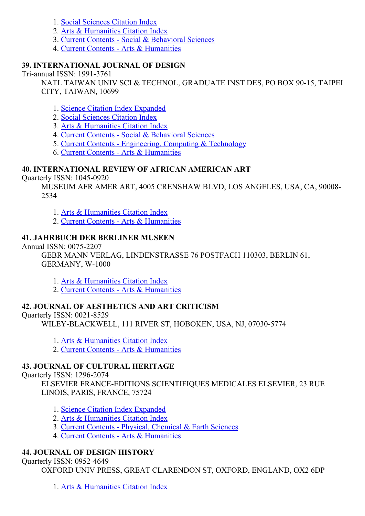- 1. Social [Sciences](http://thomsonreuters.com/social-sciences-citation-index) Citation Index
- 2. Arts & [Humanities](http://thomsonreuters.com/arts-humanities-citation-index) Citation Index
- 3. Current Contents Social & [Behavioral](http://thomsonreuters.com/current-contents-connect/) Sciences
- 4. Current Contents Arts & [Humanities](http://thomsonreuters.com/current-contents-connect)

#### 39. INTERNATIONAL JOURNAL OF DESIGN

 $Tri-annual ISSN: 1991-3761$ 

NATL TAIWAN UNIV SCI & TECHNOL, GRADUATE INST DES, PO BOX 90-15, TAIPEI CITY, TAIWAN, 10699

- 1. Science Citation Index [Expanded](http://thomsonreuters.com/science-citation-index-expanded)
- 2. Social [Sciences](http://thomsonreuters.com/social-sciences-citation-index) Citation Index
- 3. Arts & [Humanities](http://thomsonreuters.com/arts-humanities-citation-index) Citation Index
- 4. Current Contents Social & [Behavioral](http://thomsonreuters.com/current-contents-connect/) Sciences
- 5. Current Contents [Engineering,](http://thomsonreuters.com/current-contents-connect) Computing & Technology
- 6. Current Contents Arts & [Humanities](http://thomsonreuters.com/current-contents-connect)

#### 40. INTERNATIONAL REVIEW OF AFRICAN AMERICAN ART

Ouarterly ISSN: 1045-0920

MUSEUM AFR AMER ART, 4005 CRENSHAW BLVD, LOS ANGELES, USA, CA, 90008 2534

- 1. Arts & [Humanities](http://thomsonreuters.com/arts-humanities-citation-index) Citation Index
- 2. Current Contents Arts & [Humanities](http://thomsonreuters.com/current-contents-connect)

#### 41. JAHRBUCH DER BERLINER MUSEEN

Annual ISSN: 0075-2207

GEBR MANN VERLAG, LINDENSTRASSE 76 POSTFACH 110303, BERLIN 61, GERMANY, W-1000

- 1. Arts & [Humanities](http://thomsonreuters.com/arts-humanities-citation-index) Citation Index
- 2. Current Contents Arts & [Humanities](http://thomsonreuters.com/current-contents-connect)

#### 42. JOURNAL OF AESTHETICS AND ART CRITICISM

Ouarterly ISSN: 0021-8529

WILEY-BLACKWELL, 111 RIVER ST, HOBOKEN, USA, NJ, 07030-5774

- 1. Arts & [Humanities](http://thomsonreuters.com/arts-humanities-citation-index) Citation Index
- 2. Current Contents Arts & [Humanities](http://thomsonreuters.com/current-contents-connect)

#### 43. JOURNAL OF CULTURAL HERITAGE

Quarterly ISSN: 1296-2074

ELSEVIER FRANCE-EDITIONS SCIENTIFIQUES MEDICALES ELSEVIER, 23 RUE LINOIS, PARIS, FRANCE, 75724

- 1. Science Citation Index [Expanded](http://thomsonreuters.com/science-citation-index-expanded)
- 2. Arts & [Humanities](http://thomsonreuters.com/arts-humanities-citation-index) Citation Index
- 3. Current Contents Physical, [Chemical](http://thomsonreuters.com/current-contents-connect) & Earth Sciences
- 4. Current Contents Arts & [Humanities](http://thomsonreuters.com/current-contents-connect)

#### 44. JOURNAL OF DESIGN HISTORY

Quarterly ISSN: 09524649

OXFORD UNIV PRESS, GREAT CLARENDON ST, OXFORD, ENGLAND, OX2 6DP

1. Arts & [Humanities](http://thomsonreuters.com/arts-humanities-citation-index) Citation Index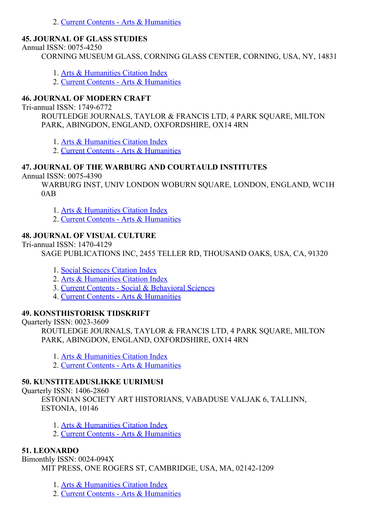2. Current Contents - Arts & [Humanities](http://thomsonreuters.com/current-contents-connect)

#### 45. JOURNAL OF GLASS STUDIES

Annual ISSN: 0075-4250

CORNING MUSEUM GLASS, CORNING GLASS CENTER, CORNING, USA, NY, 14831

1. Arts & [Humanities](http://thomsonreuters.com/arts-humanities-citation-index) Citation Index

2. Current Contents Arts & [Humanities](http://thomsonreuters.com/current-contents-connect)

#### 46. JOURNAL OF MODERN CRAFT

Tri-annual ISSN: 1749-6772

ROUTLEDGE JOURNALS, TAYLOR & FRANCIS LTD, 4 PARK SQUARE, MILTON PARK, ABINGDON, ENGLAND, OXFORDSHIRE, OX14 4RN

1. Arts & [Humanities](http://thomsonreuters.com/arts-humanities-citation-index) Citation Index

2. Current Contents - Arts & [Humanities](http://thomsonreuters.com/current-contents-connect)

#### 47. JOURNAL OF THE WARBURG AND COURTAULD INSTITUTES

Annual ISSN: 0075-4390

WARBURG INST, UNIV LONDON WOBURN SQUARE, LONDON, ENGLAND, WC1H 0AB

1. Arts & [Humanities](http://thomsonreuters.com/arts-humanities-citation-index) Citation Index

2. Current Contents - Arts & [Humanities](http://thomsonreuters.com/current-contents-connect)

#### 48. JOURNAL OF VISUAL CULTURE

Tri-annual ISSN: 1470-4129

SAGE PUBLICATIONS INC, 2455 TELLER RD, THOUSAND OAKS, USA, CA, 91320

- 1. Social [Sciences](http://thomsonreuters.com/social-sciences-citation-index) Citation Index
- 2. Arts & [Humanities](http://thomsonreuters.com/arts-humanities-citation-index) Citation Index
- 3. Current Contents Social & [Behavioral](http://thomsonreuters.com/current-contents-connect/) Sciences
- 4. Current Contents Arts & [Humanities](http://thomsonreuters.com/current-contents-connect)

#### 49. KONSTHISTORISK TIDSKRIFT

Quarterly ISSN: 0023-3609

ROUTLEDGE JOURNALS, TAYLOR & FRANCIS LTD, 4 PARK SOUARE, MILTON PARK, ABINGDON, ENGLAND, OXFORDSHIRE, OX14 4RN

- 1. Arts & [Humanities](http://thomsonreuters.com/arts-humanities-citation-index) Citation Index
- 2. Current Contents Arts & [Humanities](http://thomsonreuters.com/current-contents-connect)

#### 50. KUNSTITEADUSLIKKE UURIMUSI

Ouarterly ISSN: 1406-2860

ESTONIAN SOCIETY ART HISTORIANS, VABADUSE VALJAK 6, TALLINN, ESTONIA, 10146

- 1. Arts & [Humanities](http://thomsonreuters.com/arts-humanities-citation-index) Citation Index
- 2. Current Contents Arts & [Humanities](http://thomsonreuters.com/current-contents-connect)

#### 51. LEONARDO

Bimonthly ISSN: 0024-094X MIT PRESS, ONE ROGERS ST, CAMBRIDGE, USA, MA, 02142-1209

1. Arts & [Humanities](http://thomsonreuters.com/arts-humanities-citation-index) Citation Index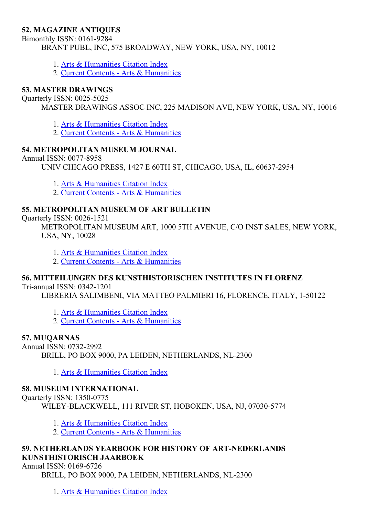#### 52. MAGAZINE ANTIQUES

Bimonthly ISSN: 0161-9284 BRANT PUBL, INC, 575 BROADWAY, NEW YORK, USA, NY, 10012

- 1. Arts & [Humanities](http://thomsonreuters.com/arts-humanities-citation-index) Citation Index
- 2. Current Contents Arts & [Humanities](http://thomsonreuters.com/current-contents-connect)

#### 53. MASTER DRAWINGS

Ouarterly ISSN: 0025-5025

MASTER DRAWINGS ASSOC INC, 225 MADISON AVE, NEW YORK, USA, NY, 10016

1. Arts & [Humanities](http://thomsonreuters.com/arts-humanities-citation-index) Citation Index

2. Current Contents - Arts & [Humanities](http://thomsonreuters.com/current-contents-connect)

#### 54. METROPOLITAN MUSEUM JOURNAL

Annual ISSN: 0077-8958

UNIV CHICAGO PRESS, 1427 E 60TH ST, CHICAGO, USA, IL, 60637-2954

1. Arts & [Humanities](http://thomsonreuters.com/arts-humanities-citation-index) Citation Index

2. Current Contents - Arts & [Humanities](http://thomsonreuters.com/current-contents-connect)

#### 55. METROPOLITAN MUSEUM OF ART BULLETIN

Quarterly ISSN: 0026-1521

METROPOLITAN MUSEUM ART, 1000 5TH AVENUE, C/O INST SALES, NEW YORK, USA, NY, 10028

1. Arts & [Humanities](http://thomsonreuters.com/arts-humanities-citation-index) Citation Index

2. Current Contents - Arts & [Humanities](http://thomsonreuters.com/current-contents-connect)

#### 56. MITTEILUNGEN DES KUNSTHISTORISCHEN INSTITUTES IN FLORENZ

Tri-annual ISSN: 0342-1201

LIBRERIA SALIMBENI, VIA MATTEO PALMIERI 16, FLORENCE, ITALY, 1-50122

1. Arts & [Humanities](http://thomsonreuters.com/arts-humanities-citation-index) Citation Index

2. Current Contents Arts & [Humanities](http://thomsonreuters.com/current-contents-connect)

#### 57. MUQARNAS

Annual ISSN: 0732-2992

BRILL, PO BOX 9000, PA LEIDEN, NETHERLANDS, NL-2300

1. Arts & [Humanities](http://thomsonreuters.com/arts-humanities-citation-index) Citation Index

#### 58. MUSEUM INTERNATIONAL

Quarterly ISSN: 1350-0775

WILEY-BLACKWELL, 111 RIVER ST, HOBOKEN, USA, NJ, 07030-5774

1. Arts & [Humanities](http://thomsonreuters.com/arts-humanities-citation-index) Citation Index

2. Current Contents - Arts & [Humanities](http://thomsonreuters.com/current-contents-connect)

#### 59. NETHERLANDS YEARBOOK FOR HISTORY OF ART-NEDERLANDS KUNSTHISTORISCH JAARBOEK

Annual ISSN: 0169-6726

BRILL, PO BOX 9000, PA LEIDEN, NETHERLANDS, NL-2300

1. Arts & [Humanities](http://thomsonreuters.com/arts-humanities-citation-index) Citation Index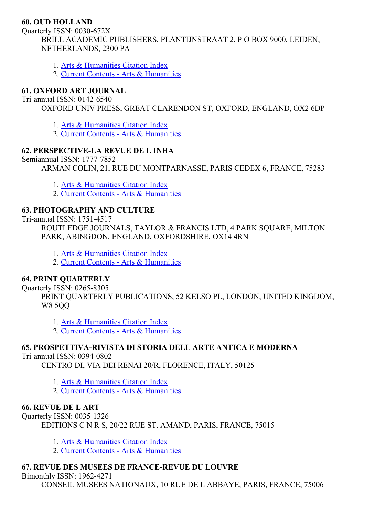#### 60. OUD HOLLAND

Quarterly ISSN: 0030-672X BRILL ACADEMIC PUBLISHERS, PLANTIJNSTRAAT 2, P O BOX 9000, LEIDEN, NETHERLANDS, 2300 PA

- 1. Arts & [Humanities](http://thomsonreuters.com/arts-humanities-citation-index) Citation Index
- 2. Current Contents Arts & [Humanities](http://thomsonreuters.com/current-contents-connect)

#### 61. OXFORD ART JOURNAL

Tri-annual ISSN: 0142-6540

OXFORD UNIV PRESS, GREAT CLARENDON ST, OXFORD, ENGLAND, OX2 6DP

1. Arts & [Humanities](http://thomsonreuters.com/arts-humanities-citation-index) Citation Index

2. Current Contents Arts & [Humanities](http://thomsonreuters.com/current-contents-connect)

### 62. PERSPECTIVELA REVUE DE L INHA

Semiannual ISSN: 1777-7852

ARMAN COLIN, 21, RUE DU MONTPARNASSE, PARIS CEDEX 6, FRANCE, 75283

- 1. Arts & [Humanities](http://thomsonreuters.com/arts-humanities-citation-index) Citation Index
- 2. Current Contents Arts & [Humanities](http://thomsonreuters.com/current-contents-connect)

### 63. PHOTOGRAPHY AND CULTURE

Tri-annual ISSN: 1751-4517

ROUTLEDGE JOURNALS, TAYLOR & FRANCIS LTD, 4 PARK SQUARE, MILTON PARK, ABINGDON, ENGLAND, OXFORDSHIRE, OX14 4RN

1. Arts & [Humanities](http://thomsonreuters.com/arts-humanities-citation-index) Citation Index

2. Current Contents Arts & [Humanities](http://thomsonreuters.com/current-contents-connect)

### 64. PRINT QUARTERLY

Ouarterly ISSN: 0265-8305

PRINT QUARTERLY PUBLICATIONS, 52 KELSO PL, LONDON, UNITED KINGDOM, W8 5QQ

1. Arts & [Humanities](http://thomsonreuters.com/arts-humanities-citation-index) Citation Index

2. Current Contents - Arts & [Humanities](http://thomsonreuters.com/current-contents-connect)

### 65. PROSPETTIVA-RIVISTA DI STORIA DELL ARTE ANTICA E MODERNA

Tri-annual ISSN: 0394-0802

CENTRO DI, VIA DEI RENAI 20/R, FLORENCE, ITALY, 50125

1. Arts & [Humanities](http://thomsonreuters.com/arts-humanities-citation-index) Citation Index

2. Current Contents - Arts & [Humanities](http://thomsonreuters.com/current-contents-connect)

### 66. REVUE DE L ART

Quarterly ISSN: 00351326 EDITIONS C N R S, 20/22 RUE ST. AMAND, PARIS, FRANCE, 75015

- 1. Arts & [Humanities](http://thomsonreuters.com/arts-humanities-citation-index) Citation Index
- 2. Current Contents Arts & [Humanities](http://thomsonreuters.com/current-contents-connect)

### 67. REVUE DES MUSEES DE FRANCE-REVUE DU LOUVRE

Bimonthly ISSN: 1962-4271

CONSEIL MUSEES NATIONAUX, 10 RUE DE L ABBAYE, PARIS, FRANCE, 75006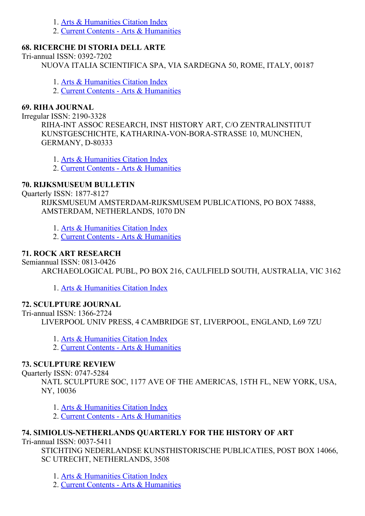- 1. Arts & [Humanities](http://thomsonreuters.com/arts-humanities-citation-index) Citation Index
- 2. Current Contents Arts & [Humanities](http://thomsonreuters.com/current-contents-connect)

#### 68. RICERCHE DI STORIA DELL ARTE

Tri-annual ISSN: 0392-7202

NUOVA ITALIA SCIENTIFICA SPA, VIA SARDEGNA 50, ROME, ITALY, 00187

1. Arts & [Humanities](http://thomsonreuters.com/arts-humanities-citation-index) Citation Index

2. Current Contents - Arts & [Humanities](http://thomsonreuters.com/current-contents-connect)

#### 69. RIHA JOURNAL

Irregular ISSN: 21903328

RIHA-INT ASSOC RESEARCH, INST HISTORY ART, C/O ZENTRALINSTITUT KUNSTGESCHICHTE, KATHARINA-VON-BORA-STRASSE 10, MUNCHEN, GERMANY, D-80333

1. Arts & [Humanities](http://thomsonreuters.com/arts-humanities-citation-index) Citation Index

2. Current Contents Arts & [Humanities](http://thomsonreuters.com/current-contents-connect)

### 70. RIJKSMUSEUM BULLETIN

Ouarterly ISSN: 1877-8127

RIJKSMUSEUM AMSTERDAM-RIJKSMUSEM PUBLICATIONS, PO BOX 74888, AMSTERDAM, NETHERLANDS, 1070 DN

1. Arts & [Humanities](http://thomsonreuters.com/arts-humanities-citation-index) Citation Index

2. Current Contents - Arts & [Humanities](http://thomsonreuters.com/current-contents-connect)

### 71. ROCK ART RESEARCH

Semiannual ISSN: 0813-0426

ARCHAEOLOGICAL PUBL, PO BOX 216, CAULFIELD SOUTH, AUSTRALIA, VIC 3162

1. Arts & [Humanities](http://thomsonreuters.com/arts-humanities-citation-index) Citation Index

### 72. SCULPTURE JOURNAL

Tri-annual ISSN: 1366-2724

LIVERPOOL UNIV PRESS, 4 CAMBRIDGE ST, LIVERPOOL, ENGLAND, L69 7ZU

1. Arts & [Humanities](http://thomsonreuters.com/arts-humanities-citation-index) Citation Index

2. Current Contents - Arts & [Humanities](http://thomsonreuters.com/current-contents-connect)

### 73. SCULPTURE REVIEW

Ouarterly ISSN: 0747-5284

NATL SCULPTURE SOC, 1177 AVE OF THE AMERICAS, 15TH FL, NEW YORK, USA, NY, 10036

1. Arts & [Humanities](http://thomsonreuters.com/arts-humanities-citation-index) Citation Index

2. Current Contents - Arts & [Humanities](http://thomsonreuters.com/current-contents-connect)

### 74. SIMIOLUS-NETHERLANDS QUARTERLY FOR THE HISTORY OF ART

Tri-annual ISSN: 0037-5411

STICHTING NEDERLANDSE KUNSTHISTORISCHE PUBLICATIES, POST BOX 14066, SC UTRECHT, NETHERLANDS, 3508

1. Arts & [Humanities](http://thomsonreuters.com/arts-humanities-citation-index) Citation Index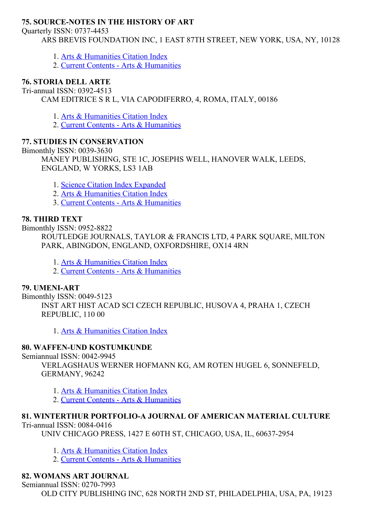#### **75. SOURCE-NOTES IN THE HISTORY OF ART**

Quarterly ISSN: 07374453

ARS BREVIS FOUNDATION INC, 1 EAST 87TH STREET, NEW YORK, USA, NY, 10128

- 1. Arts & [Humanities](http://thomsonreuters.com/arts-humanities-citation-index) Citation Index
- 2. Current Contents Arts & [Humanities](http://thomsonreuters.com/current-contents-connect)

### 76. STORIA DELL ARTE

Tri-annual ISSN: 0392-4513

CAM EDITRICE S R L, VIA CAPODIFERRO, 4, ROMA, ITALY, 00186

1. Arts & [Humanities](http://thomsonreuters.com/arts-humanities-citation-index) Citation Index

2. Current Contents - Arts & [Humanities](http://thomsonreuters.com/current-contents-connect)

### 77. STUDIES IN CONSERVATION

Bimonthly ISSN: 0039-3630 MANEY PUBLISHING, STE 1C, JOSEPHS WELL, HANOVER WALK, LEEDS, ENGLAND, W YORKS, LS3 1AB

1. Science Citation Index [Expanded](http://thomsonreuters.com/science-citation-index-expanded)

- 2. Arts & [Humanities](http://thomsonreuters.com/arts-humanities-citation-index) Citation Index
- 3. Current Contents Arts & [Humanities](http://thomsonreuters.com/current-contents-connect)

#### 78. THIRD TEXT

Bimonthly ISSN: 0952-8822

ROUTLEDGE JOURNALS, TAYLOR & FRANCIS LTD, 4 PARK SOUARE, MILTON PARK, ABINGDON, ENGLAND, OXFORDSHIRE, OX14 4RN

- 1. Arts & [Humanities](http://thomsonreuters.com/arts-humanities-citation-index) Citation Index
- 2. Current Contents Arts & [Humanities](http://thomsonreuters.com/current-contents-connect)

#### 79. UMENIART

Bimonthly ISSN: 0049-5123 INST ART HIST ACAD SCI CZECH REPUBLIC, HUSOVA 4, PRAHA 1, CZECH REPUBLIC, 110 00

1. Arts & [Humanities](http://thomsonreuters.com/arts-humanities-citation-index) Citation Index

#### 80. WAFFEN-UND KOSTUMKUNDE

Semiannual ISSN: 0042-9945

VERLAGSHAUS WERNER HOFMANN KG, AM ROTEN HUGEL 6, SONNEFELD, GERMANY, 96242

- 1. Arts & [Humanities](http://thomsonreuters.com/arts-humanities-citation-index) Citation Index
- 2. Current Contents Arts & [Humanities](http://thomsonreuters.com/current-contents-connect)

# 81. WINTERTHUR PORTFOLIO-A JOURNAL OF AMERICAN MATERIAL CULTURE

Tri-annual ISSN: 0084-0416

UNIV CHICAGO PRESS, 1427 E 60TH ST, CHICAGO, USA, IL, 60637-2954

- 1. Arts & [Humanities](http://thomsonreuters.com/arts-humanities-citation-index) Citation Index
- 2. Current Contents Arts & [Humanities](http://thomsonreuters.com/current-contents-connect)

### 82. WOMANS ART JOURNAL

Semiannual ISSN: 0270-7993

OLD CITY PUBLISHING INC, 628 NORTH 2ND ST, PHILADELPHIA, USA, PA, 19123